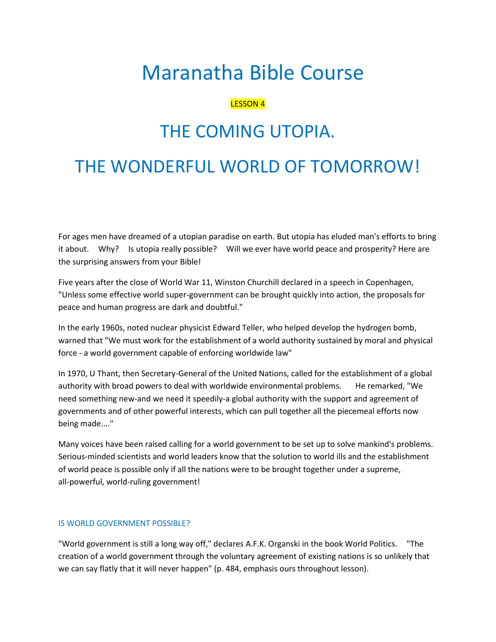# Maranatha Bible Course

# LESSON 4

# THE COMING UTOPIA.

# THE WONDERFUL WORLD OF TOMORROW!

For ages men have dreamed of a utopian paradise on earth. But utopia has eluded man's efforts to bring it about. Why? Is utopia really possible? Will we ever have world peace and prosperity? Here are the surprising answers from your Bible!

Five years after the close of World War 11, Winston Churchill declared in a speech in Copenhagen, "Unless some effective world super-government can be brought quickly into action, the proposals for peace and human progress are dark and doubtful."

In the early 1960s, noted nuclear physicist Edward Teller, who helped develop the hydrogen bomb, warned that "We must work for the establishment of a world authority sustained by moral and physical force - a world government capable of enforcing worldwide law"

In 1970, U Thant, then Secretary-General of the United Nations, called for the establishment of a global authority with broad powers to deal with worldwide environmental problems. He remarked, "We need something new-and we need it speedily-a global authority with the support and agreement of governments and of other powerful interests, which can pull together all the piecemeal efforts now being made...."

Many voices have been raised calling for a world government to be set up to solve mankind's problems. Serious-minded scientists and world leaders know that the solution to world ills and the establishment of world peace is possible only if all the nations were to be brought together under a supreme, all-powerful, world-ruling government!

#### IS WORLD GOVERNMENT POSSIBLE?

"World government is still a long way off," declares A.F.K. Organski in the book World Politics. "The creation of a world government through the voluntary agreement of existing nations is so unlikely that we can say flatly that it will never happen" (p. 484, emphasis ours throughout lesson).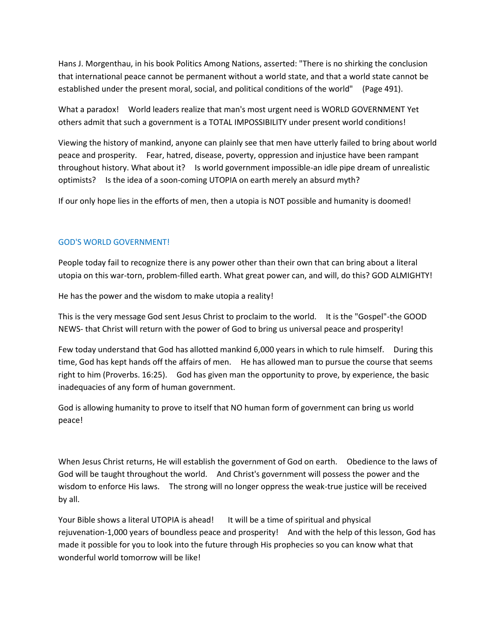Hans J. Morgenthau, in his book Politics Among Nations, asserted: "There is no shirking the conclusion that international peace cannot be permanent without a world state, and that a world state cannot be established under the present moral, social, and political conditions of the world" (Page 491).

What a paradox! World leaders realize that man's most urgent need is WORLD GOVERNMENT Yet others admit that such a government is a TOTAL IMPOSSIBILITY under present world conditions!

Viewing the history of mankind, anyone can plainly see that men have utterly failed to bring about world peace and prosperity. Fear, hatred, disease, poverty, oppression and injustice have been rampant throughout history. What about it? Is world government impossible-an idle pipe dream of unrealistic optimists? Is the idea of a soon-coming UTOPIA on earth merely an absurd myth?

If our only hope lies in the efforts of men, then a utopia is NOT possible and humanity is doomed!

### GOD'S WORLD GOVERNMENT!

People today fail to recognize there is any power other than their own that can bring about a literal utopia on this war-torn, problem-filled earth. What great power can, and will, do this? GOD ALMIGHTY!

He has the power and the wisdom to make utopia a reality!

This is the very message God sent Jesus Christ to proclaim to the world. It is the "Gospel"-the GOOD NEWS- that Christ will return with the power of God to bring us universal peace and prosperity!

Few today understand that God has allotted mankind 6,000 years in which to rule himself. During this time, God has kept hands off the affairs of men. He has allowed man to pursue the course that seems right to him (Proverbs. 16:25). God has given man the opportunity to prove, by experience, the basic inadequacies of any form of human government.

God is allowing humanity to prove to itself that NO human form of government can bring us world peace!

When Jesus Christ returns, He will establish the government of God on earth. Obedience to the laws of God will be taught throughout the world. And Christ's government will possess the power and the wisdom to enforce His laws. The strong will no longer oppress the weak-true justice will be received by all.

Your Bible shows a literal UTOPIA is ahead! It will be a time of spiritual and physical rejuvenation-1,000 years of boundless peace and prosperity! And with the help of this lesson, God has made it possible for you to look into the future through His prophecies so you can know what that wonderful world tomorrow will be like!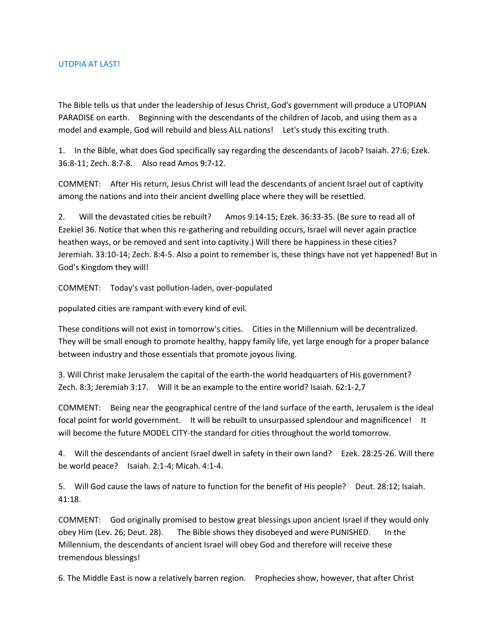#### UTOPIA AT LAST!

The Bible tells us that under the leadership of Jesus Christ, God's government will produce a UTOPIAN PARADISE on earth. Beginning with the descendants of the children of Jacob, and using them as a model and example, God will rebuild and bless ALL nations! Let's study this exciting truth.

1. In the Bible, what does God specifically say regarding the descendants of Jacob? Isaiah. 27:6; Ezek. 36:8-11; Zech. 8:7-8. Also read Amos 9:7-12.

COMMENT: After His return, Jesus Christ will lead the descendants of ancient Israel out of captivity among the nations and into their ancient dwelling place where they will be resettled.

2. Will the devastated cities be rebuilt? Amos 9:14-15; Ezek. 36:33-35. (Be sure to read all of Ezekiel 36. Notice that when this re-gathering and rebuilding occurs, Israel will never again practice heathen ways, or be removed and sent into captivity.) Will there be happiness in these cities? Jeremiah. 33:10-14; Zech. 8:4-5. Also a point to remember is, these things have not yet happened! But in God's Kingdom they will!

COMMENT: Today's vast pollution-laden, over-populated

populated cities are rampant with every kind of evil.

These conditions will not exist in tomorrow's cities. Cities in the Millennium will be decentralized. They will be small enough to promote healthy, happy family life, yet large enough for a proper balance between industry and those essentials that promote joyous living.

3. Will Christ make Jerusalem the capital of the earth-the world headquarters of His government? Zech. 8:3; Jeremiah 3:17. Will it be an example to the entire world? Isaiah. 62:1-2,7

COMMENT: Being near the geographical centre of the land surface of the earth, Jerusalem is the ideal focal point for world government. It will be rebuilt to unsurpassed splendour and magnificence! It will become the future MODEL CITY-the standard for cities throughout the world tomorrow.

4. Will the descendants of ancient Israel dwell in safety in their own land? Ezek. 28:25-26. Will there be world peace? Isaiah. 2:1-4; Micah. 4:1-4.

5. Will God cause the laws of nature to function for the benefit of His people? Deut. 28:12; Isaiah. 41:18.

COMMENT: God originally promised to bestow great blessings upon ancient Israel if they would only obey Him (Lev. 26; Deut. 28). The Bible shows they disobeyed and were PUNISHED. In the Millennium, the descendants of ancient Israel will obey God and therefore will receive these tremendous blessings!

6. The Middle East is now a relatively barren region. Prophecies show, however, that after Christ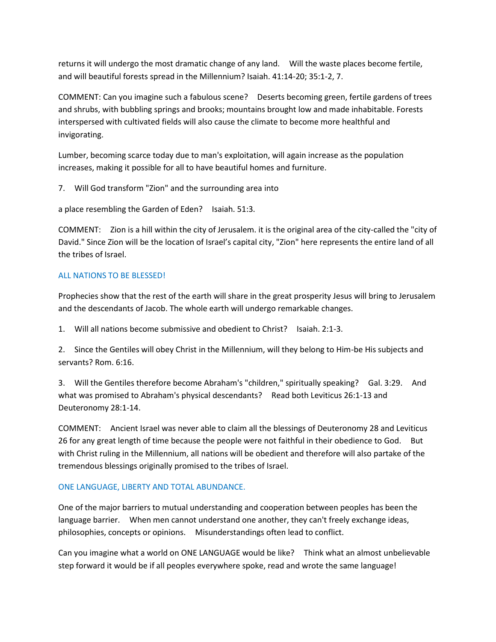returns it will undergo the most dramatic change of any land. Will the waste places become fertile, and will beautiful forests spread in the Millennium? Isaiah. 41:14-20; 35:1-2, 7.

COMMENT: Can you imagine such a fabulous scene? Deserts becoming green, fertile gardens of trees and shrubs, with bubbling springs and brooks; mountains brought low and made inhabitable. Forests interspersed with cultivated fields will also cause the climate to become more healthful and invigorating.

Lumber, becoming scarce today due to man's exploitation, will again increase as the population increases, making it possible for all to have beautiful homes and furniture.

7. Will God transform "Zion" and the surrounding area into

a place resembling the Garden of Eden? Isaiah. 51:3.

COMMENT: Zion is a hill within the city of Jerusalem. it is the original area of the city-called the "city of David." Since Zion will be the location of Israel's capital city, "Zion" here represents the entire land of all the tribes of Israel.

### ALL NATIONS TO BE BLESSED!

Prophecies show that the rest of the earth will share in the great prosperity Jesus will bring to Jerusalem and the descendants of Jacob. The whole earth will undergo remarkable changes.

1. Will all nations become submissive and obedient to Christ? Isaiah. 2:1-3.

2. Since the Gentiles will obey Christ in the Millennium, will they belong to Him-be His subjects and servants? Rom. 6:16.

3. Will the Gentiles therefore become Abraham's "children," spiritually speaking? Gal. 3:29. And what was promised to Abraham's physical descendants? Read both Leviticus 26:1-13 and Deuteronomy 28:1-14.

COMMENT: Ancient Israel was never able to claim all the blessings of Deuteronomy 28 and Leviticus 26 for any great length of time because the people were not faithful in their obedience to God. But with Christ ruling in the Millennium, all nations will be obedient and therefore will also partake of the tremendous blessings originally promised to the tribes of Israel.

#### ONE LANGUAGE, LIBERTY AND TOTAL ABUNDANCE.

One of the major barriers to mutual understanding and cooperation between peoples has been the language barrier. When men cannot understand one another, they can't freely exchange ideas, philosophies, concepts or opinions. Misunderstandings often lead to conflict.

Can you imagine what a world on ONE LANGUAGE would be like? Think what an almost unbelievable step forward it would be if all peoples everywhere spoke, read and wrote the same language!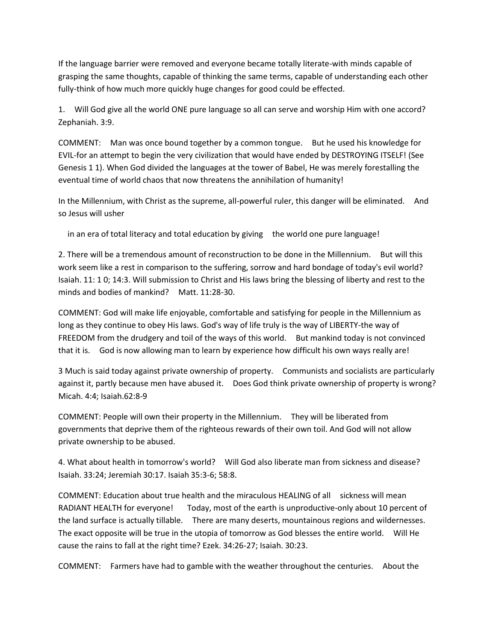If the language barrier were removed and everyone became totally literate-with minds capable of grasping the same thoughts, capable of thinking the same terms, capable of understanding each other fully-think of how much more quickly huge changes for good could be effected.

1. Will God give all the world ONE pure language so all can serve and worship Him with one accord? Zephaniah. 3:9.

COMMENT: Man was once bound together by a common tongue. But he used his knowledge for EVIL-for an attempt to begin the very civilization that would have ended by DESTROYING ITSELF! (See Genesis 1 1). When God divided the languages at the tower of Babel, He was merely forestalling the eventual time of world chaos that now threatens the annihilation of humanity!

In the Millennium, with Christ as the supreme, all-powerful ruler, this danger will be eliminated. And so Jesus will usher

in an era of total literacy and total education by giving the world one pure language!

2. There will be a tremendous amount of reconstruction to be done in the Millennium. But will this work seem like a rest in comparison to the suffering, sorrow and hard bondage of today's evil world? Isaiah. 11: 1 0; 14:3. Will submission to Christ and His laws bring the blessing of liberty and rest to the minds and bodies of mankind? Matt. 11:28-30.

COMMENT: God will make life enjoyable, comfortable and satisfying for people in the Millennium as long as they continue to obey His laws. God's way of life truly is the way of LIBERTY-the way of FREEDOM from the drudgery and toil of the ways of this world. But mankind today is not convinced that it is. God is now allowing man to learn by experience how difficult his own ways really are!

3 Much is said today against private ownership of property. Communists and socialists are particularly against it, partly because men have abused it. Does God think private ownership of property is wrong? Micah. 4:4; Isaiah.62:8-9

COMMENT: People will own their property in the Millennium. They will be liberated from governments that deprive them of the righteous rewards of their own toil. And God will not allow private ownership to be abused.

4. What about health in tomorrow's world? Will God also liberate man from sickness and disease? Isaiah. 33:24; Jeremiah 30:17. Isaiah 35:3-6; 58:8.

COMMENT: Education about true health and the miraculous HEALING of all sickness will mean RADIANT HEALTH for everyone! Today, most of the earth is unproductive-only about 10 percent of the land surface is actually tillable. There are many deserts, mountainous regions and wildernesses. The exact opposite will be true in the utopia of tomorrow as God blesses the entire world. Will He cause the rains to fall at the right time? Ezek. 34:26-27; Isaiah. 30:23.

COMMENT: Farmers have had to gamble with the weather throughout the centuries. About the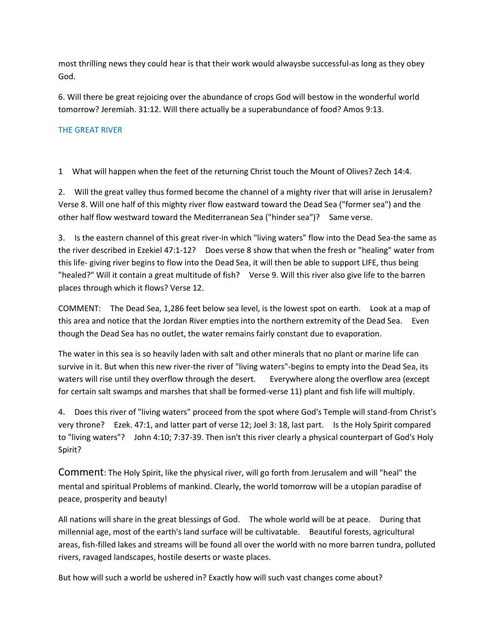most thrilling news they could hear is that their work would alwaysbe successful-as long as they obey God.

6. Will there be great rejoicing over the abundance of crops God will bestow in the wonderful world tomorrow? Jeremiah. 31:12. Will there actually be a superabundance of food? Amos 9:13.

### THE GREAT RIVER

1 What will happen when the feet of the returning Christ touch the Mount of Olives? Zech 14:4.

2. Will the great valley thus formed become the channel of a mighty river that will arise in Jerusalem? Verse 8. Will one half of this mighty river flow eastward toward the Dead Sea ("former sea") and the other half flow westward toward the Mediterranean Sea ("hinder sea")? Same verse.

3. Is the eastern channel of this great river-in which "living waters" flow into the Dead Sea-the same as the river described in Ezekiel 47:1-12? Does verse 8 show that when the fresh or "healing" water from this life- giving river begins to flow into the Dead Sea, it will then be able to support LIFE, thus being "healed?" Will it contain a great multitude of fish? Verse 9. Will this river also give life to the barren places through which it flows? Verse 12.

COMMENT: The Dead Sea, 1,286 feet below sea level, is the lowest spot on earth. Look at a map of this area and notice that the Jordan River empties into the northern extremity of the Dead Sea. Even though the Dead Sea has no outlet, the water remains fairly constant due to evaporation.

The water in this sea is so heavily laden with salt and other minerals that no plant or marine life can survive in it. But when this new river-the river of "living waters"-begins to empty into the Dead Sea, its waters will rise until they overflow through the desert. Everywhere along the overflow area (except for certain salt swamps and marshes that shall be formed-verse 11) plant and fish life will multiply.

4. Does this river of "living waters" proceed from the spot where God's Temple will stand-from Christ's very throne? Ezek. 47:1, and latter part of verse 12; Joel 3: 18, last part. Is the Holy Spirit compared to "living waters"? John 4:10; 7:37-39. Then isn't this river clearly a physical counterpart of God's Holy Spirit?

Comment: The Holy Spirit, like the physical river, will go forth from Jerusalem and will "heal" the mental and spiritual Problems of mankind. Clearly, the world tomorrow will be a utopian paradise of peace, prosperity and beauty!

All nations will share in the great blessings of God. The whole world will be at peace. During that millennial age, most of the earth's land surface will be cultivatable. Beautiful forests, agricultural areas, fish-filled lakes and streams will be found all over the world with no more barren tundra, polluted rivers, ravaged landscapes, hostile deserts or waste places.

But how will such a world be ushered in? Exactly how will such vast changes come about?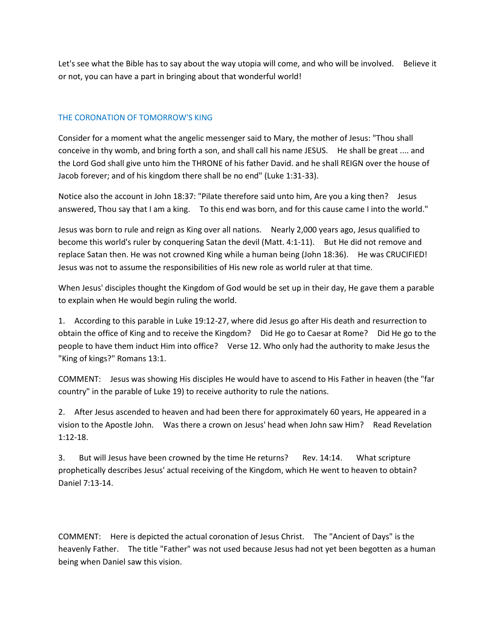Let's see what the Bible has to say about the way utopia will come, and who will be involved. Believe it or not, you can have a part in bringing about that wonderful world!

# THE CORONATION OF TOMORROW'S KING

Consider for a moment what the angelic messenger said to Mary, the mother of Jesus: "Thou shall conceive in thy womb, and bring forth a son, and shall call his name JESUS. He shall be great .... and the Lord God shall give unto him the THRONE of his father David. and he shall REIGN over the house of Jacob forever; and of his kingdom there shall be no end" (Luke 1:31-33).

Notice also the account in John 18:37: "Pilate therefore said unto him, Are you a king then? Jesus answered, Thou say that I am a king. To this end was born, and for this cause came I into the world."

Jesus was born to rule and reign as King over all nations. Nearly 2,000 years ago, Jesus qualified to become this world's ruler by conquering Satan the devil (Matt. 4:1-11). But He did not remove and replace Satan then. He was not crowned King while a human being (John 18:36). He was CRUCIFIED! Jesus was not to assume the responsibilities of His new role as world ruler at that time.

When Jesus' disciples thought the Kingdom of God would be set up in their day, He gave them a parable to explain when He would begin ruling the world.

1. According to this parable in Luke 19:12-27, where did Jesus go after His death and resurrection to obtain the office of King and to receive the Kingdom? Did He go to Caesar at Rome? Did He go to the people to have them induct Him into office? Verse 12. Who only had the authority to make Jesus the "King of kings?" Romans 13:1.

COMMENT: Jesus was showing His disciples He would have to ascend to His Father in heaven (the "far country" in the parable of Luke 19) to receive authority to rule the nations.

2. After Jesus ascended to heaven and had been there for approximately 60 years, He appeared in a vision to the Apostle John. Was there a crown on Jesus' head when John saw Him? Read Revelation 1:12-18.

3. But will Jesus have been crowned by the time He returns? Rev. 14:14. What scripture prophetically describes Jesus' actual receiving of the Kingdom, which He went to heaven to obtain? Daniel 7:13-14.

COMMENT: Here is depicted the actual coronation of Jesus Christ. The "Ancient of Days" is the heavenly Father. The title "Father" was not used because Jesus had not yet been begotten as a human being when Daniel saw this vision.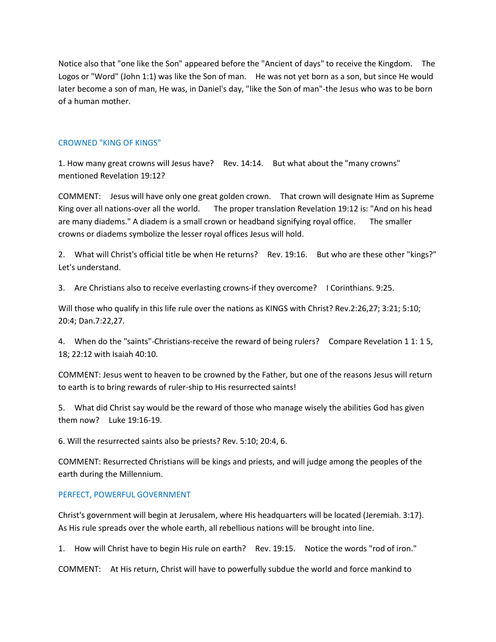Notice also that "one like the Son" appeared before the "Ancient of days" to receive the Kingdom. The Logos or "Word" (John 1:1) was like the Son of man. He was not yet born as a son, but since He would later become a son of man, He was, in Daniel's day, "like the Son of man"-the Jesus who was to be born of a human mother.

#### CROWNED "KING OF KINGS"

1. How many great crowns will Jesus have? Rev. 14:14. But what about the "many crowns" mentioned Revelation 19:12?

COMMENT: Jesus will have only one great golden crown. That crown will designate Him as Supreme King over all nations-over all the world. The proper translation Revelation 19:12 is: "And on his head are many diadems." A diadem is a small crown or headband signifying royal office. The smaller crowns or diadems symbolize the lesser royal offices Jesus will hold.

2. What will Christ's official title be when He returns? Rev. 19:16. But who are these other "kings?" Let's understand.

3. Are Christians also to receive everlasting crowns-if they overcome? I Corinthians. 9:25.

Will those who qualify in this life rule over the nations as KINGS with Christ? Rev.2:26,27; 3:21; 5:10; 20:4; Dan.7:22,27.

4. When do the "saints"-Christians-receive the reward of being rulers? Compare Revelation 1 1: 1 5, 18; 22:12 with Isaiah 40:10.

COMMENT: Jesus went to heaven to be crowned by the Father, but one of the reasons Jesus will return to earth is to bring rewards of ruler-ship to His resurrected saints!

5. What did Christ say would be the reward of those who manage wisely the abilities God has given them now? Luke 19:16-19.

6. Will the resurrected saints also be priests? Rev. 5:10; 20:4, 6.

COMMENT: Resurrected Christians will be kings and priests, and will judge among the peoples of the earth during the Millennium.

#### PERFECT, POWERFUL GOVERNMENT

Christ's government will begin at Jerusalem, where His headquarters will be located (Jeremiah. 3:17). As His rule spreads over the whole earth, all rebellious nations will be brought into line.

1. How will Christ have to begin His rule on earth? Rev. 19:15. Notice the words "rod of iron."

COMMENT: At His return, Christ will have to powerfully subdue the world and force mankind to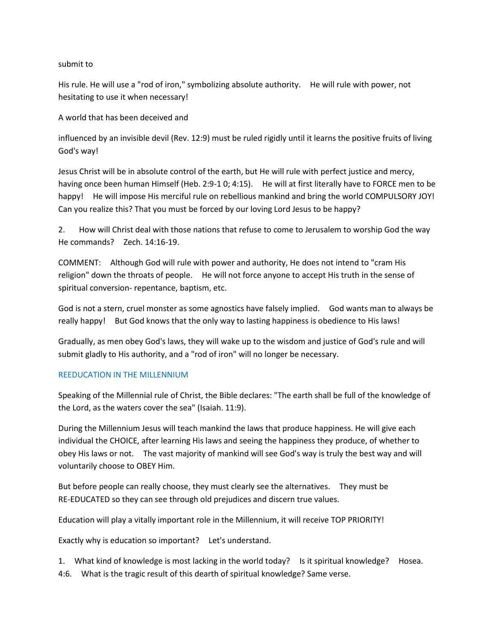#### submit to

His rule. He will use a "rod of iron," symbolizing absolute authority. He will rule with power, not hesitating to use it when necessary!

A world that has been deceived and

influenced by an invisible devil (Rev. 12:9) must be ruled rigidly until it learns the positive fruits of living God's way!

Jesus Christ will be in absolute control of the earth, but He will rule with perfect justice and mercy, having once been human Himself (Heb. 2:9-1 0; 4:15). He will at first literally have to FORCE men to be happy! He will impose His merciful rule on rebellious mankind and bring the world COMPULSORY JOY! Can you realize this? That you must be forced by our loving Lord Jesus to be happy?

2. How will Christ deal with those nations that refuse to come to Jerusalem to worship God the way He commands? Zech. 14:16-19.

COMMENT: Although God will rule with power and authority, He does not intend to "cram His religion" down the throats of people. He will not force anyone to accept His truth in the sense of spiritual conversion- repentance, baptism, etc.

God is not a stern, cruel monster as some agnostics have falsely implied. God wants man to always be really happy! But God knows that the only way to lasting happiness is obedience to His laws!

Gradually, as men obey God's laws, they will wake up to the wisdom and justice of God's rule and will submit gladly to His authority, and a "rod of iron" will no longer be necessary.

# REEDUCATION IN THE MILLENNIUM

Speaking of the Millennial rule of Christ, the Bible declares: "The earth shall be full of the knowledge of the Lord, as the waters cover the sea" (Isaiah. 11:9).

During the Millennium Jesus will teach mankind the laws that produce happiness. He will give each individual the CHOICE, after learning His laws and seeing the happiness they produce, of whether to obey His laws or not. The vast majority of mankind will see God's way is truly the best way and will voluntarily choose to OBEY Him.

But before people can really choose, they must clearly see the alternatives. They must be RE-EDUCATED so they can see through old prejudices and discern true values.

Education will play a vitally important role in the Millennium, it will receive TOP PRIORITY!

Exactly why is education so important? Let's understand.

1. What kind of knowledge is most lacking in the world today? Is it spiritual knowledge? Hosea.

4:6. What is the tragic result of this dearth of spiritual knowledge? Same verse.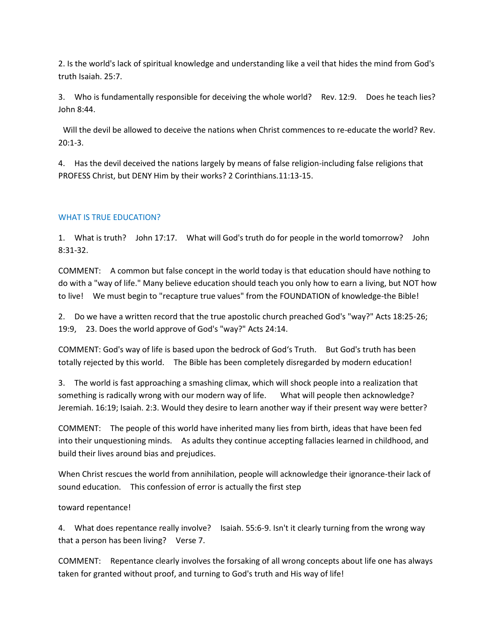2. Is the world's lack of spiritual knowledge and understanding like a veil that hides the mind from God's truth Isaiah. 25:7.

3. Who is fundamentally responsible for deceiving the whole world? Rev. 12:9. Does he teach lies? John 8:44.

Will the devil be allowed to deceive the nations when Christ commences to re-educate the world? Rev. 20:1-3.

4. Has the devil deceived the nations largely by means of false religion-including false religions that PROFESS Christ, but DENY Him by their works? 2 Corinthians.11:13-15.

### WHAT IS TRUE EDUCATION?

1. What is truth? John 17:17. What will God's truth do for people in the world tomorrow? John 8:31-32.

COMMENT: A common but false concept in the world today is that education should have nothing to do with a "way of life." Many believe education should teach you only how to earn a living, but NOT how to live! We must begin to "recapture true values" from the FOUNDATION of knowledge-the Bible!

2. Do we have a written record that the true apostolic church preached God's "way?" Acts 18:25-26; 19:9, 23. Does the world approve of God's "way?" Acts 24:14.

COMMENT: God's way of life is based upon the bedrock of God's Truth. But God's truth has been totally rejected by this world. The Bible has been completely disregarded by modern education!

3. The world is fast approaching a smashing climax, which will shock people into a realization that something is radically wrong with our modern way of life. What will people then acknowledge? Jeremiah. 16:19; Isaiah. 2:3. Would they desire to learn another way if their present way were better?

COMMENT: The people of this world have inherited many lies from birth, ideas that have been fed into their unquestioning minds. As adults they continue accepting fallacies learned in childhood, and build their lives around bias and prejudices.

When Christ rescues the world from annihilation, people will acknowledge their ignorance-their lack of sound education. This confession of error is actually the first step

toward repentance!

4. What does repentance really involve? Isaiah. 55:6-9. Isn't it clearly turning from the wrong way that a person has been living? Verse 7.

COMMENT: Repentance clearly involves the forsaking of all wrong concepts about life one has always taken for granted without proof, and turning to God's truth and His way of life!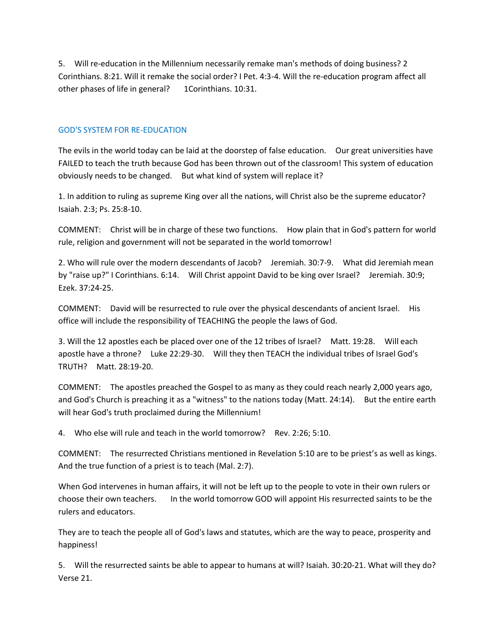5. Will re-education in the Millennium necessarily remake man's methods of doing business? 2 Corinthians. 8:21. Will it remake the social order? I Pet. 4:3-4. Will the re-education program affect all other phases of life in general? 1Corinthians. 10:31.

#### GOD'S SYSTEM FOR RE-EDUCATION

The evils in the world today can be laid at the doorstep of false education. Our great universities have FAILED to teach the truth because God has been thrown out of the classroom! This system of education obviously needs to be changed. But what kind of system will replace it?

1. In addition to ruling as supreme King over all the nations, will Christ also be the supreme educator? Isaiah. 2:3; Ps. 25:8-10.

COMMENT: Christ will be in charge of these two functions. How plain that in God's pattern for world rule, religion and government will not be separated in the world tomorrow!

2. Who will rule over the modern descendants of Jacob? Jeremiah. 30:7-9. What did Jeremiah mean by "raise up?" I Corinthians. 6:14. Will Christ appoint David to be king over Israel? Jeremiah. 30:9; Ezek. 37:24-25.

COMMENT: David will be resurrected to rule over the physical descendants of ancient Israel. His office will include the responsibility of TEACHING the people the laws of God.

3. Will the 12 apostles each be placed over one of the 12 tribes of Israel? Matt. 19:28. Will each apostle have a throne? Luke 22:29-30. Will they then TEACH the individual tribes of Israel God's TRUTH? Matt. 28:19-20.

COMMENT: The apostles preached the Gospel to as many as they could reach nearly 2,000 years ago, and God's Church is preaching it as a "witness" to the nations today (Matt. 24:14). But the entire earth will hear God's truth proclaimed during the Millennium!

4. Who else will rule and teach in the world tomorrow? Rev. 2:26; 5:10.

COMMENT: The resurrected Christians mentioned in Revelation 5:10 are to be priest's as well as kings. And the true function of a priest is to teach (Mal. 2:7).

When God intervenes in human affairs, it will not be left up to the people to vote in their own rulers or choose their own teachers. In the world tomorrow GOD will appoint His resurrected saints to be the rulers and educators.

They are to teach the people all of God's laws and statutes, which are the way to peace, prosperity and happiness!

5. Will the resurrected saints be able to appear to humans at will? Isaiah. 30:20-21. What will they do? Verse 21.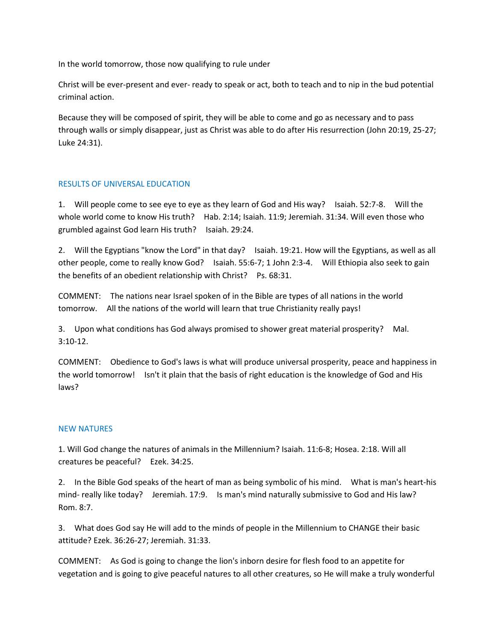In the world tomorrow, those now qualifying to rule under

Christ will be ever-present and ever- ready to speak or act, both to teach and to nip in the bud potential criminal action.

Because they will be composed of spirit, they will be able to come and go as necessary and to pass through walls or simply disappear, just as Christ was able to do after His resurrection (John 20:19, 25-27; Luke 24:31).

#### RESULTS OF UNIVERSAL EDUCATION

1. Will people come to see eye to eye as they learn of God and His way? Isaiah. 52:7-8. Will the whole world come to know His truth? Hab. 2:14; Isaiah. 11:9; Jeremiah. 31:34. Will even those who grumbled against God learn His truth? Isaiah. 29:24.

2. Will the Egyptians "know the Lord" in that day? Isaiah. 19:21. How will the Egyptians, as well as all other people, come to really know God? Isaiah. 55:6-7; 1 John 2:3-4. Will Ethiopia also seek to gain the benefits of an obedient relationship with Christ? Ps. 68:31.

COMMENT: The nations near Israel spoken of in the Bible are types of all nations in the world tomorrow. All the nations of the world will learn that true Christianity really pays!

3. Upon what conditions has God always promised to shower great material prosperity? Mal. 3:10-12.

COMMENT: Obedience to God's laws is what will produce universal prosperity, peace and happiness in the world tomorrow! Isn't it plain that the basis of right education is the knowledge of God and His laws?

#### NEW NATURES

1. Will God change the natures of animals in the Millennium? Isaiah. 11:6-8; Hosea. 2:18. Will all creatures be peaceful? Ezek. 34:25.

2. In the Bible God speaks of the heart of man as being symbolic of his mind. What is man's heart-his mind- really like today? Jeremiah. 17:9. Is man's mind naturally submissive to God and His law? Rom. 8:7.

3. What does God say He will add to the minds of people in the Millennium to CHANGE their basic attitude? Ezek. 36:26-27; Jeremiah. 31:33.

COMMENT: As God is going to change the lion's inborn desire for flesh food to an appetite for vegetation and is going to give peaceful natures to all other creatures, so He will make a truly wonderful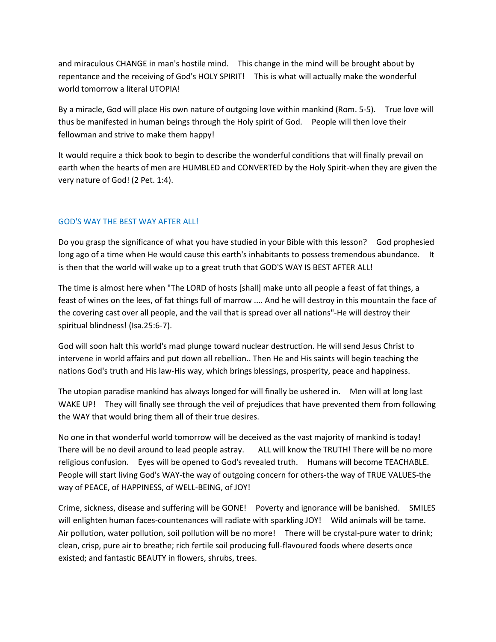and miraculous CHANGE in man's hostile mind. This change in the mind will be brought about by repentance and the receiving of God's HOLY SPIRIT! This is what will actually make the wonderful world tomorrow a literal UTOPIA!

By a miracle, God will place His own nature of outgoing love within mankind (Rom. 5-5). True love will thus be manifested in human beings through the Holy spirit of God. People will then love their fellowman and strive to make them happy!

It would require a thick book to begin to describe the wonderful conditions that will finally prevail on earth when the hearts of men are HUMBLED and CONVERTED by the Holy Spirit-when they are given the very nature of God! (2 Pet. 1:4).

# GOD'S WAY THE BEST WAY AFTER ALL!

Do you grasp the significance of what you have studied in your Bible with this lesson? God prophesied long ago of a time when He would cause this earth's inhabitants to possess tremendous abundance. It is then that the world will wake up to a great truth that GOD'S WAY IS BEST AFTER ALL!

The time is almost here when "The LORD of hosts [shall] make unto all people a feast of fat things, a feast of wines on the lees, of fat things full of marrow .... And he will destroy in this mountain the face of the covering cast over all people, and the vail that is spread over all nations"-He will destroy their spiritual blindness! (Isa.25:6-7).

God will soon halt this world's mad plunge toward nuclear destruction. He will send Jesus Christ to intervene in world affairs and put down all rebellion.. Then He and His saints will begin teaching the nations God's truth and His law-His way, which brings blessings, prosperity, peace and happiness.

The utopian paradise mankind has always longed for will finally be ushered in. Men will at long last WAKE UP! They will finally see through the veil of prejudices that have prevented them from following the WAY that would bring them all of their true desires.

No one in that wonderful world tomorrow will be deceived as the vast majority of mankind is today! There will be no devil around to lead people astray. ALL will know the TRUTH! There will be no more religious confusion. Eyes will be opened to God's revealed truth. Humans will become TEACHABLE. People will start living God's WAY-the way of outgoing concern for others-the way of TRUE VALUES-the way of PEACE, of HAPPINESS, of WELL-BEING, of JOY!

Crime, sickness, disease and suffering will be GONE! Poverty and ignorance will be banished. SMILES will enlighten human faces-countenances will radiate with sparkling JOY! Wild animals will be tame. Air pollution, water pollution, soil pollution will be no more! There will be crystal-pure water to drink; clean, crisp, pure air to breathe; rich fertile soil producing full-flavoured foods where deserts once existed; and fantastic BEAUTY in flowers, shrubs, trees.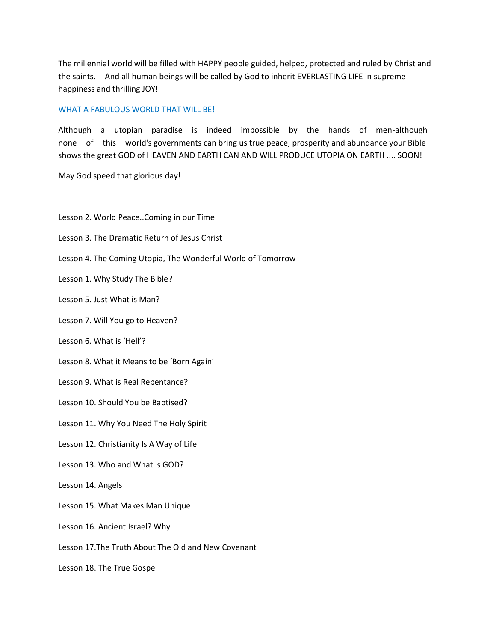The millennial world will be filled with HAPPY people guided, helped, protected and ruled by Christ and the saints. And all human beings will be called by God to inherit EVERLASTING LIFE in supreme happiness and thrilling JOY!

#### WHAT A FABULOUS WORLD THAT WILL BE!

Although a utopian paradise is indeed impossible by the hands of men-although none of this world's governments can bring us true peace, prosperity and abundance your Bible shows the great GOD of HEAVEN AND EARTH CAN AND WILL PRODUCE UTOPIA ON EARTH .... SOON!

May God speed that glorious day!

- Lesson 2. World Peace..Coming in our Time
- Lesson 3. The Dramatic Return of Jesus Christ
- Lesson 4. The Coming Utopia, The Wonderful World of Tomorrow
- Lesson 1. Why Study The Bible?
- Lesson 5. Just What is Man?
- Lesson 7. Will You go to Heaven?
- Lesson 6. What is 'Hell'?
- Lesson 8. What it Means to be 'Born Again'
- Lesson 9. What is Real Repentance?
- Lesson 10. Should You be Baptised?
- Lesson 11. Why You Need The Holy Spirit
- Lesson 12. Christianity Is A Way of Life
- Lesson 13. Who and What is GOD?
- Lesson 14. Angels
- Lesson 15. What Makes Man Unique
- Lesson 16. Ancient Israel? Why
- Lesson 17.The Truth About The Old and New Covenant
- Lesson 18. The True Gospel